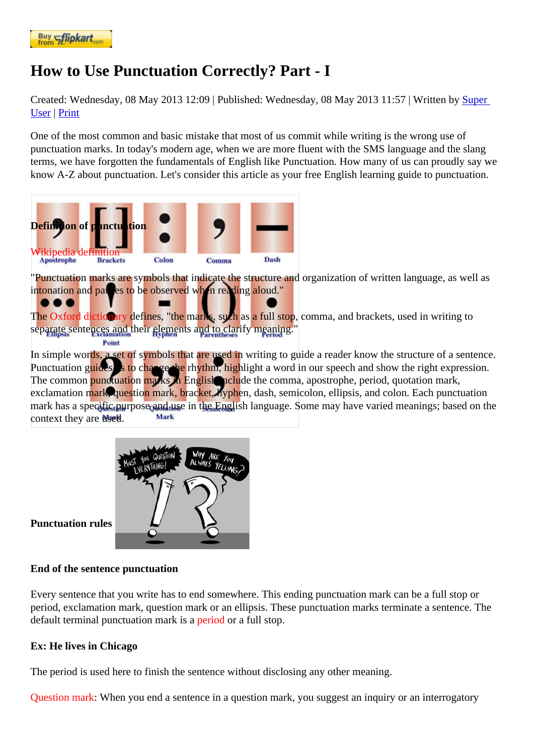## [How to Use](https://www.flipkart.com/spoken-english-3rd/p/itmezunpyjy5xcc7?pid=9789339221461&affid=kaminiraw) Punctuation Correctly? Part - I

Created: Wednesday, 08 May 2013 12: Published: Wednesday, 08 May 2013 11: Whitten by Super User| Print

One of the most common and basic mistake that most of us commit while writing is the wrong use of punctuation marks. In today's modern age, when we are more fluent with the SMS langua[ge and](https://english.eagetutor.com/contact) the slang [term](https://english.eagetutor.com/contact)s, we have forgotten the fundamentals of English like Punctuation. How many of us can proudly say we know A-Z about punctuation. Let's consider this article as your free English learning guide to punctuation.

Definition of punctuation

## Wikipedia definition

"Punctuation marks are symbols that indicate the structure and organization of written language, as well as intonation and pauses to be observed when reading aloud."

The Oxford dictionary defines, "the marks, such as a full stop, comma, and brackets, used in writing to separate sentences and their elements and to clarify meaning."

In simple words, a set of symbols that are used in writing to guide a reader know the structure of a sentence. Punctuation guides us to change the rhythm, highlight a word in our speech and show the right expression. The common punctuation marks in English include the comma, apostrophe, period, quotation mark, exclamation mark, question mark, bracket, hyphen, dash, semicolon, ellipsis, and colon. Each punctuation mark has a specific purpose and use in the English language. Some may have varied meanings; based on th context they are used.

Punctuation rules

End of the sentence punctuation

Every sentence that you write has to end somewhere. This ending punctuation mark can be a full stop or period, exclamation mark, question mark or an ellipsis. These punctuation marks terminate a sentence. The default terminal punctuation mark is pariod or a full stop.

Ex: He lives in Chicago

The period is used here to finish the sentence without disclosing any other meaning.

Question mark When you end a sentence in a question mark, you suggest an inquiry or an interrogatory